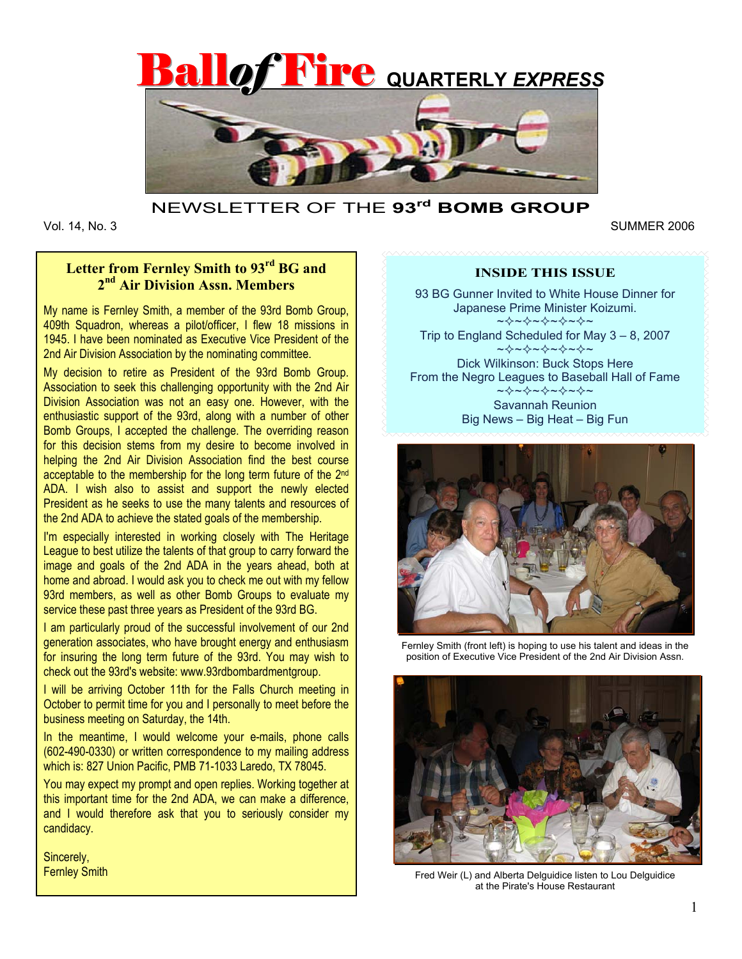



### NEWSLETTER OF THE **93rd BOMB GROUP**

Vol. 14, No. 3

Vol. 14, No. 3 SUMMER 2006

# **Letter from Fernley Smith to 93rd BG and 2nd Air Division Assn. Members**

My name is Fernley Smith, a member of the 93rd Bomb Group, 409th Squadron, whereas a pilot/officer, I flew 18 missions in 1945. I have been nominated as Executive Vice President of the 2nd Air Division Association by the nominating committee.

My decision to retire as President of the 93rd Bomb Group. Association to seek this challenging opportunity with the 2nd Air Division Association was not an easy one. However, with the enthusiastic support of the 93rd, along with a number of other Bomb Groups, I accepted the challenge. The overriding reason for this decision stems from my desire to become involved in helping the 2nd Air Division Association find the best course acceptable to the membership for the long term future of the 2nd ADA. I wish also to assist and support the newly elected President as he seeks to use the many talents and resources of the 2nd ADA to achieve the stated goals of the membership.

I'm especially interested in working closely with The Heritage League to best utilize the talents of that group to carry forward the image and goals of the 2nd ADA in the years ahead, both at home and abroad. I would ask you to check me out with my fellow 93rd members, as well as other Bomb Groups to evaluate my service these past three years as President of the 93rd BG.

I am particularly proud of the successful involvement of our 2nd generation associates, who have brought energy and enthusiasm for insuring the long term future of the 93rd. You may wish to check out the 93rd's website: www.93rdbombardmentgroup.

I will be arriving October 11th for the Falls Church meeting in October to permit time for you and I personally to meet before the business meeting on Saturday, the 14th.

In the meantime, I would welcome your e-mails, phone calls (602-490-0330) or written correspondence to my mailing address which is: 827 Union Pacific, PMB 71-1033 Laredo, TX 78045.

You may expect my prompt and open replies. Working together at this important time for the 2nd ADA, we can make a difference, and I would therefore ask that you to seriously consider my candidacy.

Sincerely, Fernley Smith

### **INSIDE THIS ISSUE**

93 BG Gunner Invited to White House Dinner for Japanese Prime Minister Koizumi. ~~~~~~~~~~~

Trip to England Scheduled for May 3 – 8, 2007 ~☆~☆~☆~☆~

Dick Wilkinson: Buck Stops Here From the Negro Leagues to Baseball Hall of Fame ~⊹~☆~☆~~ Savannah Reunion

Big News – Big Heat – Big Fun



Fernley Smith (front left) is hoping to use his talent and ideas in the position of Executive Vice President of the 2nd Air Division Assn.



Fred Weir (L) and Alberta Delguidice listen to Lou Delauidice at the Pirate's House Restaurant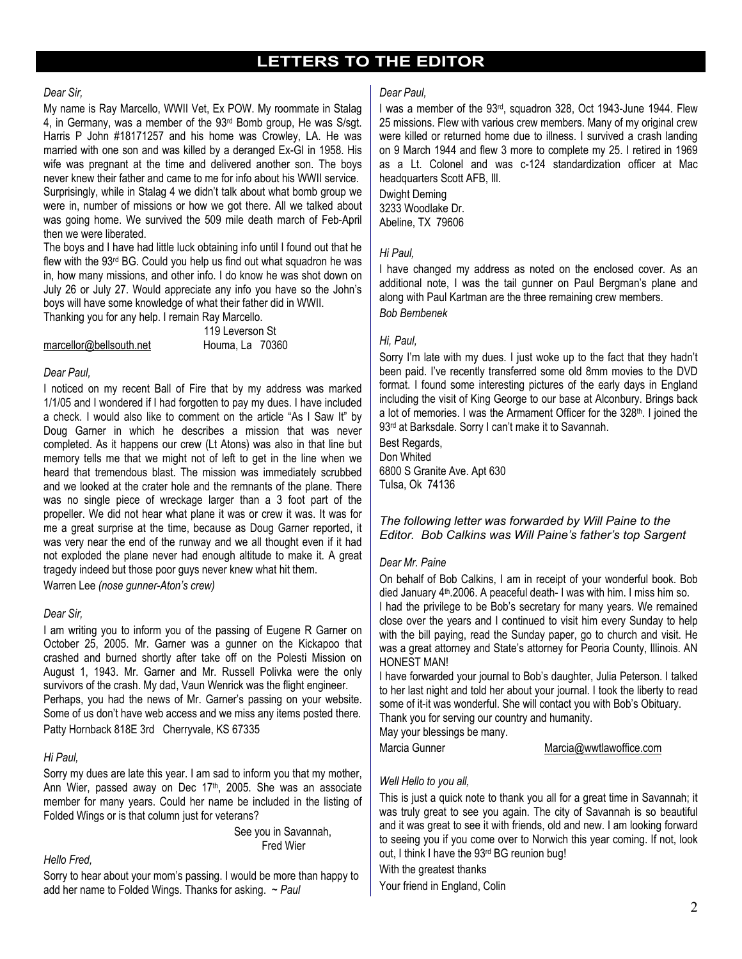## **LETTERS TO THE EDITOR**

### *Dear Sir,*

My name is Ray Marcello, WWII Vet, Ex POW. My roommate in Stalag 4, in Germany, was a member of the 93rd Bomb group, He was S/sgt. Harris P John #18171257 and his home was Crowley, LA. He was married with one son and was killed by a deranged Ex-GI in 1958. His wife was pregnant at the time and delivered another son. The boys never knew their father and came to me for info about his WWII service. Surprisingly, while in Stalag 4 we didn't talk about what bomb group we were in, number of missions or how we got there. All we talked about was going home. We survived the 509 mile death march of Feb-April then we were liberated.

The boys and I have had little luck obtaining info until I found out that he flew with the 93rd BG. Could you help us find out what squadron he was in, how many missions, and other info. I do know he was shot down on July 26 or July 27. Would appreciate any info you have so the John's boys will have some knowledge of what their father did in WWII.

Thanking you for any help. I remain Ray Marcello.

|                         | 119 Leverson St |
|-------------------------|-----------------|
| marcellor@bellsouth.net | Houma, La 70360 |

### *Dear Paul,*

I noticed on my recent Ball of Fire that by my address was marked 1/1/05 and I wondered if I had forgotten to pay my dues. I have included a check. I would also like to comment on the article "As I Saw It" by Doug Garner in which he describes a mission that was never completed. As it happens our crew (Lt Atons) was also in that line but memory tells me that we might not of left to get in the line when we heard that tremendous blast. The mission was immediately scrubbed and we looked at the crater hole and the remnants of the plane. There was no single piece of wreckage larger than a 3 foot part of the propeller. We did not hear what plane it was or crew it was. It was for me a great surprise at the time, because as Doug Garner reported, it was very near the end of the runway and we all thought even if it had not exploded the plane never had enough altitude to make it. A great tragedy indeed but those poor guys never knew what hit them.

Warren Lee *(nose gunner-Aton's crew)* 

### *Dear Sir,*

I am writing you to inform you of the passing of Eugene R Garner on October 25, 2005. Mr. Garner was a gunner on the Kickapoo that crashed and burned shortly after take off on the Polesti Mission on August 1, 1943. Mr. Garner and Mr. Russell Polivka were the only survivors of the crash. My dad, Vaun Wenrick was the flight engineer. Perhaps, you had the news of Mr. Garner's passing on your website. Some of us don't have web access and we miss any items posted there. Patty Hornback 818E 3rd Cherryvale, KS 67335

### *Hi Paul,*

Sorry my dues are late this year. I am sad to inform you that my mother, Ann Wier, passed away on Dec 17<sup>th</sup>, 2005. She was an associate member for many years. Could her name be included in the listing of Folded Wings or is that column just for veterans?

> See you in Savannah, Fred Wier

### *Hello Fred,*

Sorry to hear about your mom's passing. I would be more than happy to add her name to Folded Wings. Thanks for asking. ~ *Paul*

### *Dear Paul,*

I was a member of the 93rd, squadron 328, Oct 1943-June 1944. Flew 25 missions. Flew with various crew members. Many of my original crew were killed or returned home due to illness. I survived a crash landing on 9 March 1944 and flew 3 more to complete my 25. I retired in 1969 as a Lt. Colonel and was c-124 standardization officer at Mac headquarters Scott AFB, Ill.

Dwight Deming 3233 Woodlake Dr. Abeline, TX 79606

### *Hi Paul,*

I have changed my address as noted on the enclosed cover. As an additional note, I was the tail gunner on Paul Bergman's plane and along with Paul Kartman are the three remaining crew members. *Bob Bembenek* 

### *Hi, Paul,*

Sorry I'm late with my dues. I just woke up to the fact that they hadn't been paid. I've recently transferred some old 8mm movies to the DVD format. I found some interesting pictures of the early days in England including the visit of King George to our base at Alconbury. Brings back a lot of memories. I was the Armament Officer for the 328<sup>th</sup>. I joined the 93<sup>rd</sup> at Barksdale. Sorry I can't make it to Savannah.

Best Regards, Don Whited 6800 S Granite Ave. Apt 630 Tulsa, Ok 74136

### *The following letter was forwarded by Will Paine to the Editor. Bob Calkins was Will Paine's father's top Sargent*

### *Dear Mr. Paine*

On behalf of Bob Calkins, I am in receipt of your wonderful book. Bob died January 4th.2006. A peaceful death- I was with him. I miss him so. I had the privilege to be Bob's secretary for many years. We remained close over the years and I continued to visit him every Sunday to help with the bill paying, read the Sunday paper, go to church and visit. He was a great attorney and State's attorney for Peoria County, Illinois. AN HONEST MAN!

I have forwarded your journal to Bob's daughter, Julia Peterson. I talked to her last night and told her about your journal. I took the liberty to read some of it-it was wonderful. She will contact you with Bob's Obituary. Thank you for serving our country and humanity.

May your blessings be many.

Marcia Gunner Marcia@wwtlawoffice.com

### *Well Hello to you all,*

This is just a quick note to thank you all for a great time in Savannah; it was truly great to see you again. The city of Savannah is so beautiful and it was great to see it with friends, old and new. I am looking forward to seeing you if you come over to Norwich this year coming. If not, look out, I think I have the 93<sup>rd</sup> BG reunion bug!

With the greatest thanks

Your friend in England, Colin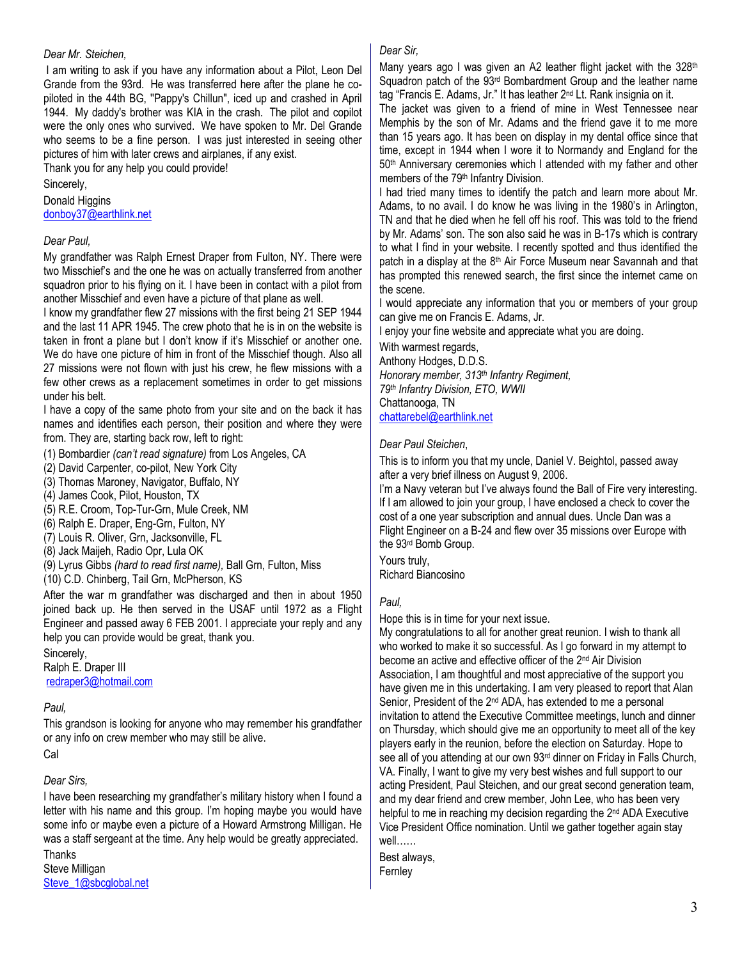### *Dear Mr. Steichen,*

 I am writing to ask if you have any information about a Pilot, Leon Del Grande from the 93rd. He was transferred here after the plane he copiloted in the 44th BG, ''Pappy's Chillun", iced up and crashed in April 1944. My daddy's brother was KIA in the crash. The pilot and copilot were the only ones who survived. We have spoken to Mr. Del Grande who seems to be a fine person. I was just interested in seeing other pictures of him with later crews and airplanes, if any exist.

Thank you for any help you could provide!

Sincerely,

Donald Higgins donboy37@earthlink.net

### *Dear Paul,*

My grandfather was Ralph Ernest Draper from Fulton, NY. There were two Misschief's and the one he was on actually transferred from another squadron prior to his flying on it. I have been in contact with a pilot from another Misschief and even have a picture of that plane as well.

I know my grandfather flew 27 missions with the first being 21 SEP 1944 and the last 11 APR 1945. The crew photo that he is in on the website is taken in front a plane but I don't know if it's Misschief or another one. We do have one picture of him in front of the Misschief though. Also all 27 missions were not flown with just his crew, he flew missions with a few other crews as a replacement sometimes in order to get missions under his belt.

I have a copy of the same photo from your site and on the back it has names and identifies each person, their position and where they were from. They are, starting back row, left to right:

(1) Bombardier *(can't read signature)* from Los Angeles, CA

(2) David Carpenter, co-pilot, New York City

(3) Thomas Maroney, Navigator, Buffalo, NY

(4) James Cook, Pilot, Houston, TX

(5) R.E. Croom, Top-Tur-Grn, Mule Creek, NM

(6) Ralph E. Draper, Eng-Grn, Fulton, NY

(7) Louis R. Oliver, Grn, Jacksonville, FL

(8) Jack Maijeh, Radio Opr, Lula OK

(9) Lyrus Gibbs *(hard to read first name),* Ball Grn, Fulton, Miss

(10) C.D. Chinberg, Tail Grn, McPherson, KS

After the war m grandfather was discharged and then in about 1950 joined back up. He then served in the USAF until 1972 as a Flight Engineer and passed away 6 FEB 2001. I appreciate your reply and any help you can provide would be great, thank you.

Sincerely,

Ralph E. Draper III redraper3@hotmail.com

### *Paul,*

This grandson is looking for anyone who may remember his grandfather or any info on crew member who may still be alive.

Cal

*Dear Sirs,* 

I have been researching my grandfather's military history when I found a letter with his name and this group. I'm hoping maybe you would have some info or maybe even a picture of a Howard Armstrong Milligan. He was a staff sergeant at the time. Any help would be greatly appreciated.

Thanks Steve Milligan Steve\_1@sbcglobal.net

### *Dear Sir,*

Many years ago I was given an A2 leather flight jacket with the 328<sup>th</sup> Squadron patch of the 93rd Bombardment Group and the leather name tag "Francis E. Adams, Jr." It has leather 2nd Lt. Rank insignia on it.

The jacket was given to a friend of mine in West Tennessee near Memphis by the son of Mr. Adams and the friend gave it to me more than 15 years ago. It has been on display in my dental office since that time, except in 1944 when I wore it to Normandy and England for the 50<sup>th</sup> Anniversary ceremonies which I attended with my father and other members of the 79<sup>th</sup> Infantry Division.

I had tried many times to identify the patch and learn more about Mr. Adams, to no avail. I do know he was living in the 1980's in Arlington, TN and that he died when he fell off his roof. This was told to the friend by Mr. Adams' son. The son also said he was in B-17s which is contrary to what I find in your website. I recently spotted and thus identified the patch in a display at the 8th Air Force Museum near Savannah and that has prompted this renewed search, the first since the internet came on the scene.

I would appreciate any information that you or members of your group can give me on Francis E. Adams, Jr.

I enjoy your fine website and appreciate what you are doing.

With warmest regards, Anthony Hodges, D.D.S. *Honorary member, 313th Infantry Regiment, 79th Infantry Division, ETO, WWII*  Chattanooga, TN chattarebel@earthlink.net

*Dear Paul Steichen*,

This is to inform you that my uncle, Daniel V. Beightol, passed away after a very brief illness on August 9, 2006.

I'm a Navy veteran but I've always found the Ball of Fire very interesting. If I am allowed to join your group, I have enclosed a check to cover the cost of a one year subscription and annual dues. Uncle Dan was a Flight Engineer on a B-24 and flew over 35 missions over Europe with the 93rd Bomb Group.

Yours truly,

Richard Biancosino

### *Paul,*

Hope this is in time for your next issue.

My congratulations to all for another great reunion. I wish to thank all who worked to make it so successful. As I go forward in my attempt to become an active and effective officer of the 2nd Air Division Association, I am thoughtful and most appreciative of the support you have given me in this undertaking. I am very pleased to report that Alan Senior, President of the 2<sup>nd</sup> ADA, has extended to me a personal invitation to attend the Executive Committee meetings, lunch and dinner on Thursday, which should give me an opportunity to meet all of the key players early in the reunion, before the election on Saturday. Hope to see all of you attending at our own 93<sup>rd</sup> dinner on Friday in Falls Church, VA. Finally, I want to give my very best wishes and full support to our acting President, Paul Steichen, and our great second generation team, and my dear friend and crew member, John Lee, who has been very helpful to me in reaching my decision regarding the 2<sup>nd</sup> ADA Executive Vice President Office nomination. Until we gather together again stay well……

Best always, Fernley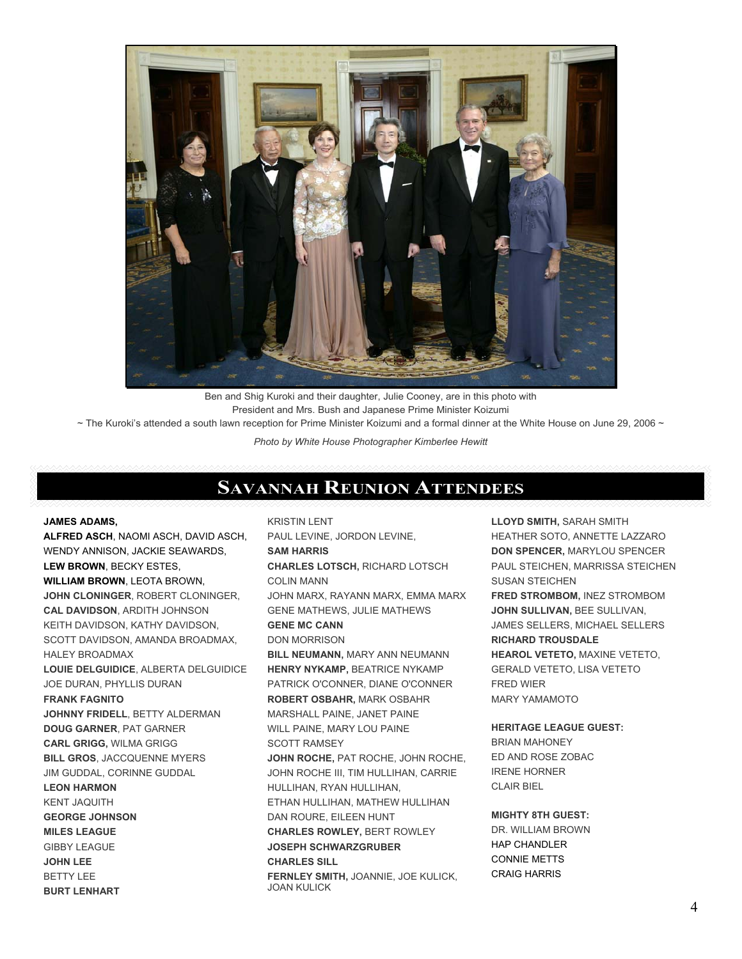

Ben and Shig Kuroki and their daughter, Julie Cooney, are in this photo with President and Mrs. Bush and Japanese Prime Minister Koizumi

 $\sim$  The Kuroki's attended a south lawn reception for Prime Minister Koizumi and a formal dinner at the White House on June 29, 2006  $\sim$ 

*Photo by White House Photographer Kimberlee Hewitt* 

# **SAVANNAH REUNION ATTENDEES**

#### **JAMES ADAMS,**

**ALFRED ASCH**, NAOMI ASCH, DAVID ASCH, WENDY ANNISON, JACKIE SEAWARDS, **LEW BROWN**, BECKY ESTES, **WILLIAM BROWN**, LEOTA BROWN, **JOHN CLONINGER**, ROBERT CLONINGER, **CAL DAVIDSON**, ARDITH JOHNSON KEITH DAVIDSON, KATHY DAVIDSON, SCOTT DAVIDSON, AMANDA BROADMAX, HALEY BROADMAX **LOUIE DELGUIDICE**, ALBERTA DELGUIDICE JOE DURAN, PHYLLIS DURAN **FRANK FAGNITO JOHNNY FRIDELL**, BETTY ALDERMAN **DOUG GARNER**, PAT GARNER **CARL GRIGG,** WILMA GRIGG **BILL GROS**, JACCQUENNE MYERS JIM GUDDAL, CORINNE GUDDAL **LEON HARMON** KENT JAQUITH **GEORGE JOHNSON MILES LEAGUE** GIBBY LEAGUE **JOHN LEE** BETTY LEE **BURT LENHART**

KRISTIN LENT PAUL LEVINE, JORDON LEVINE, **SAM HARRIS CHARLES LOTSCH,** RICHARD LOTSCH COLIN MANN JOHN MARX, RAYANN MARX, EMMA MARX GENE MATHEWS, JULIE MATHEWS **GENE MC CANN** DON MORRISON **BILL NEUMANN,** MARY ANN NEUMANN **HENRY NYKAMP,** BEATRICE NYKAMP PATRICK O'CONNER, DIANE O'CONNER **ROBERT OSBAHR,** MARK OSBAHR MARSHALL PAINE, JANET PAINE WILL PAINE, MARY LOU PAINE SCOTT RAMSEY **JOHN ROCHE,** PAT ROCHE, JOHN ROCHE, JOHN ROCHE III, TIM HULLIHAN, CARRIE HULLIHAN, RYAN HULLIHAN, ETHAN HULLIHAN, MATHEW HULLIHAN DAN ROURE, EILEEN HUNT **CHARLES ROWLEY,** BERT ROWLEY **JOSEPH SCHWARZGRUBER CHARLES SILL FERNLEY SMITH,** JOANNIE, JOE KULICK, JOAN KULICK

**LLOYD SMITH,** SARAH SMITH HEATHER SOTO, ANNETTE LAZZARO **DON SPENCER,** MARYLOU SPENCER PAUL STEICHEN, MARRISSA STEICHEN SUSAN STEICHEN **FRED STROMBOM,** INEZ STROMBOM **JOHN SULLIVAN,** BEE SULLIVAN, JAMES SELLERS, MICHAEL SELLERS **RICHARD TROUSDALE HEAROL VETETO,** MAXINE VETETO, GERALD VETETO, LISA VETETO FRED WIER MARY YAMAMOTO

### **HERITAGE LEAGUE GUEST:**

BRIAN MAHONEY ED AND ROSE ZOBAC IRENE HORNER CLAIR BIEL

**MIGHTY 8TH GUEST:** DR. WILLIAM BROWN HAP CHANDLER CONNIE METTS CRAIG HARRIS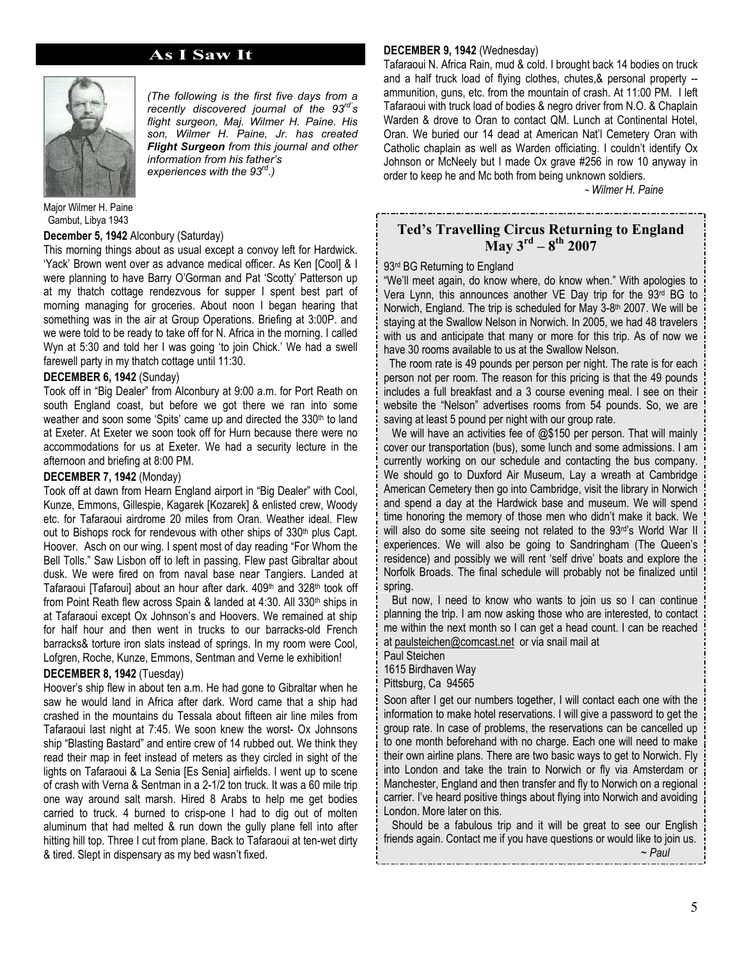### **As I Saw It**



*(The following is the first five days from a recently discovered journal of the 93rd's flight surgeon, Maj. Wilmer H. Paine. His son, Wilmer H. Paine, Jr. has created Flight Surgeon from this journal and other information from his father's experiences with the 93rd.)* 

Major Wilmer H. Paine Gambut, Libya 1943

#### **December 5, 1942** Alconbury (Saturday)

This morning things about as usual except a convoy left for Hardwick. 'Yack' Brown went over as advance medical officer. As Ken [Cool] & I were planning to have Barry O'Gorman and Pat 'Scotty' Patterson up at my thatch cottage rendezvous for supper I spent best part of morning managing for groceries. About noon I began hearing that something was in the air at Group Operations. Briefing at 3:00P. and we were told to be ready to take off for N. Africa in the morning. I called Wyn at 5:30 and told her I was going 'to join Chick.' We had a swell farewell party in my thatch cottage until 11:30.

#### **DECEMBER 6, 1942** (Sunday)

Took off in "Big Dealer" from Alconbury at 9:00 a.m. for Port Reath on south England coast, but before we got there we ran into some weather and soon some 'Spits' came up and directed the 330<sup>th</sup> to land at Exeter. At Exeter we soon took off for Hurn because there were no accommodations for us at Exeter. We had a security lecture in the afternoon and briefing at 8:00 PM.

#### **DECEMBER 7, 1942** (Monday)

Took off at dawn from Hearn England airport in "Big Dealer" with Cool, Kunze, Emmons, Gillespie, Kagarek [Kozarek] & enlisted crew, Woody etc. for Tafaraoui airdrome 20 miles from Oran. Weather ideal. Flew out to Bishops rock for rendevous with other ships of 330<sup>th</sup> plus Capt. Hoover. Asch on our wing. I spent most of day reading "For Whom the Bell Tolls." Saw Lisbon off to left in passing. Flew past Gibraltar about dusk. We were fired on from naval base near Tangiers. Landed at Tafaraoui [Tafaroui] about an hour after dark. 409<sup>th</sup> and 328<sup>th</sup> took off from Point Reath flew across Spain & landed at 4:30. All 330<sup>th</sup> ships in at Tafaraoui except Ox Johnson's and Hoovers. We remained at ship for half hour and then went in trucks to our barracks-old French barracks& torture iron slats instead of springs. In my room were Cool, Lofgren, Roche, Kunze, Emmons, Sentman and Verne le exhibition!

#### **DECEMBER 8, 1942** (Tuesday)

Hoover's ship flew in about ten a.m. He had gone to Gibraltar when he saw he would land in Africa after dark. Word came that a ship had crashed in the mountains du Tessala about fifteen air line miles from Tafaraoui last night at 7:45. We soon knew the worst- Ox Johnsons ship "Blasting Bastard" and entire crew of 14 rubbed out. We think they read their map in feet instead of meters as they circled in sight of the lights on Tafaraoui & La Senia [Es Senia] airfields. I went up to scene of crash with Verna & Sentman in a 2-1/2 ton truck. It was a 60 mile trip one way around salt marsh. Hired 8 Arabs to help me get bodies carried to truck. 4 burned to crisp-one I had to dig out of molten aluminum that had melted & run down the gully plane fell into after hitting hill top. Three I cut from plane. Back to Tafaraoui at ten-wet dirty & tired. Slept in dispensary as my bed wasn't fixed.

### **DECEMBER 9, 1942** (Wednesday)

Tafaraoui N. Africa Rain, mud & cold. I brought back 14 bodies on truck and a half truck load of flying clothes, chutes,& personal property - ammunition, guns, etc. from the mountain of crash. At 11:00 PM. I left Tafaraoui with truck load of bodies & negro driver from N.O. & Chaplain Warden & drove to Oran to contact QM. Lunch at Continental Hotel, Oran. We buried our 14 dead at American Nat'l Cemetery Oran with Catholic chaplain as well as Warden officiating. I couldn't identify Ox Johnson or McNeely but I made Ox grave #256 in row 10 anyway in order to keep he and Mc both from being unknown soldiers.

~ *Wilmer H. Paine*

### **Ted's Travelling Circus Returning to England May 3rd – 8th 2007**

\_\_\_\_\_\_\_\_\_\_\_\_\_\_\_\_\_\_\_\_\_\_\_\_\_\_

#### 93<sup>rd</sup> BG Returning to England

"We'll meet again, do know where, do know when." With apologies to Vera Lynn, this announces another VE Day trip for the 93<sup>rd</sup> BG to Norwich, England. The trip is scheduled for May 3-8<sup>th</sup> 2007. We will be staying at the Swallow Nelson in Norwich. In 2005, we had 48 travelers with us and anticipate that many or more for this trip. As of now we have 30 rooms available to us at the Swallow Nelson.

 The room rate is 49 pounds per person per night. The rate is for each person not per room. The reason for this pricing is that the 49 pounds includes a full breakfast and a 3 course evening meal. I see on their website the "Nelson" advertises rooms from 54 pounds. So, we are saving at least 5 pound per night with our group rate.

We will have an activities fee of @\$150 per person. That will mainly cover our transportation (bus), some lunch and some admissions. I am currently working on our schedule and contacting the bus company. We should go to Duxford Air Museum, Lay a wreath at Cambridge American Cemetery then go into Cambridge, visit the library in Norwich and spend a day at the Hardwick base and museum. We will spend time honoring the memory of those men who didn't make it back. We will also do some site seeing not related to the 93rd's World War II experiences. We will also be going to Sandringham (The Queen's residence) and possibly we will rent 'self drive' boats and explore the Norfolk Broads. The final schedule will probably not be finalized until spring.

 But now, I need to know who wants to join us so I can continue planning the trip. I am now asking those who are interested, to contact me within the next month so I can get a head count. I can be reached at paulsteichen@comcast.net or via snail mail at

Paul Steichen

1615 Birdhaven Way Pittsburg, Ca 94565

Soon after I get our numbers together, I will contact each one with the information to make hotel reservations. I will give a password to get the group rate. In case of problems, the reservations can be cancelled up to one month beforehand with no charge. Each one will need to make their own airline plans. There are two basic ways to get to Norwich. Fly into London and take the train to Norwich or fly via Amsterdam or Manchester, England and then transfer and fly to Norwich on a regional carrier. I've heard positive things about flying into Norwich and avoiding London. More later on this.

 Should be a fabulous trip and it will be great to see our English friends again. Contact me if you have questions or would like to join us. ~ *Paul*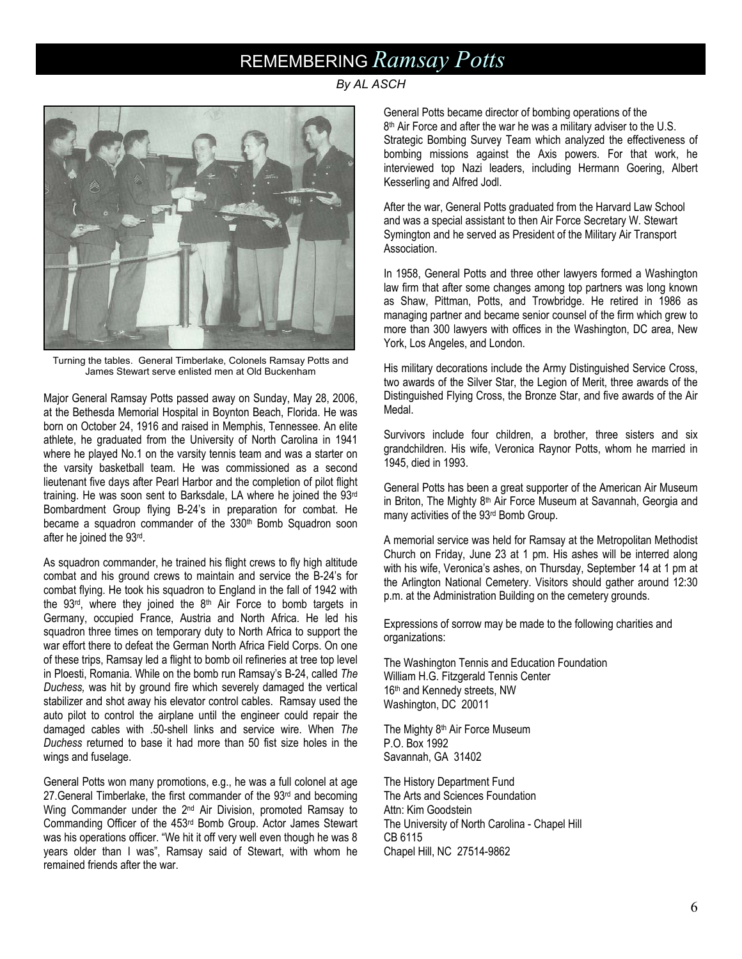# REMEMBERING *Ramsay Potts*

*By AL ASCH*



Turning the tables. General Timberlake, Colonels Ramsay Potts and James Stewart serve enlisted men at Old Buckenham

Major General Ramsay Potts passed away on Sunday, May 28, 2006, at the Bethesda Memorial Hospital in Boynton Beach, Florida. He was born on October 24, 1916 and raised in Memphis, Tennessee. An elite athlete, he graduated from the University of North Carolina in 1941 where he played No.1 on the varsity tennis team and was a starter on the varsity basketball team. He was commissioned as a second lieutenant five days after Pearl Harbor and the completion of pilot flight training. He was soon sent to Barksdale, LA where he joined the 93rd Bombardment Group flying B-24's in preparation for combat. He became a squadron commander of the 330<sup>th</sup> Bomb Squadron soon after he joined the 93rd.

As squadron commander, he trained his flight crews to fly high altitude combat and his ground crews to maintain and service the B-24's for combat flying. He took his squadron to England in the fall of 1942 with the  $93<sup>rd</sup>$ , where they joined the  $8<sup>th</sup>$  Air Force to bomb targets in Germany, occupied France, Austria and North Africa. He led his squadron three times on temporary duty to North Africa to support the war effort there to defeat the German North Africa Field Corps. On one of these trips, Ramsay led a flight to bomb oil refineries at tree top level in Ploesti, Romania. While on the bomb run Ramsay's B-24, called *The Duchess,* was hit by ground fire which severely damaged the vertical stabilizer and shot away his elevator control cables. Ramsay used the auto pilot to control the airplane until the engineer could repair the damaged cables with .50-shell links and service wire. When *The Duchess* returned to base it had more than 50 fist size holes in the wings and fuselage.

General Potts won many promotions, e.g., he was a full colonel at age 27. General Timberlake, the first commander of the 93<sup>rd</sup> and becoming Wing Commander under the 2<sup>nd</sup> Air Division, promoted Ramsay to Commanding Officer of the 453rd Bomb Group. Actor James Stewart was his operations officer. "We hit it off very well even though he was 8 years older than I was", Ramsay said of Stewart, with whom he remained friends after the war.

General Potts became director of bombing operations of the 8<sup>th</sup> Air Force and after the war he was a military adviser to the U.S. Strategic Bombing Survey Team which analyzed the effectiveness of bombing missions against the Axis powers. For that work, he interviewed top Nazi leaders, including Hermann Goering, Albert Kesserling and Alfred Jodl.

After the war, General Potts graduated from the Harvard Law School and was a special assistant to then Air Force Secretary W. Stewart Symington and he served as President of the Military Air Transport Association.

In 1958, General Potts and three other lawyers formed a Washington law firm that after some changes among top partners was long known as Shaw, Pittman, Potts, and Trowbridge. He retired in 1986 as managing partner and became senior counsel of the firm which grew to more than 300 lawyers with offices in the Washington, DC area, New York, Los Angeles, and London.

His military decorations include the Army Distinguished Service Cross, two awards of the Silver Star, the Legion of Merit, three awards of the Distinguished Flying Cross, the Bronze Star, and five awards of the Air Medal.

Survivors include four children, a brother, three sisters and six grandchildren. His wife, Veronica Raynor Potts, whom he married in 1945, died in 1993.

General Potts has been a great supporter of the American Air Museum in Briton, The Mighty 8<sup>th</sup> Air Force Museum at Savannah, Georgia and many activities of the 93rd Bomb Group.

A memorial service was held for Ramsay at the Metropolitan Methodist Church on Friday, June 23 at 1 pm. His ashes will be interred along with his wife, Veronica's ashes, on Thursday, September 14 at 1 pm at the Arlington National Cemetery. Visitors should gather around 12:30 p.m. at the Administration Building on the cemetery grounds.

Expressions of sorrow may be made to the following charities and organizations:

The Washington Tennis and Education Foundation William H.G. Fitzgerald Tennis Center 16th and Kennedy streets, NW Washington, DC 20011

The Mighty 8<sup>th</sup> Air Force Museum P.O. Box 1992 Savannah, GA 31402

The History Department Fund The Arts and Sciences Foundation Attn: Kim Goodstein The University of North Carolina - Chapel Hill CB 6115 Chapel Hill, NC 27514-9862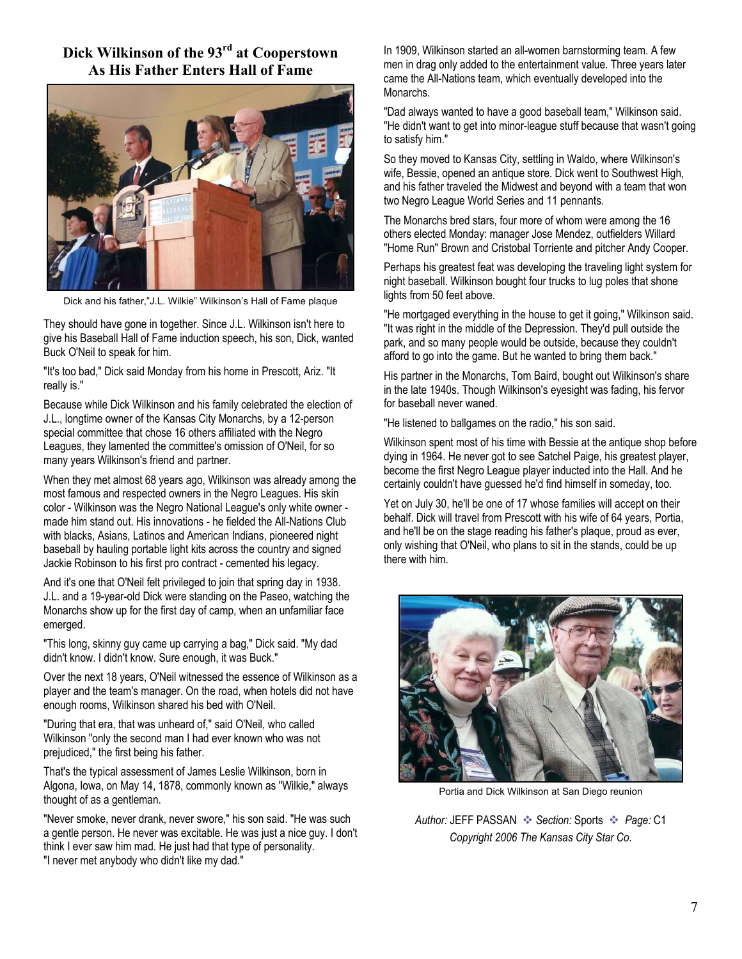## **Dick Wilkinson of the 93rd at Cooperstown As His Father Enters Hall of Fame**



Dick and his father,"J.L. Wilkie" Wilkinson's Hall of Fame plaque

They should have gone in together. Since J.L. Wilkinson isn't here to give his Baseball Hall of Fame induction speech, his son, Dick, wanted Buck O'Neil to speak for him.

"It's too bad," Dick said Monday from his home in Prescott, Ariz. "It really is."

Because while Dick Wilkinson and his family celebrated the election of J.L., longtime owner of the Kansas City Monarchs, by a 12-person special committee that chose 16 others affiliated with the Negro Leagues, they lamented the committee's omission of O'Neil, for so many years Wilkinson's friend and partner.

When they met almost 68 years ago, Wilkinson was already among the most famous and respected owners in the Negro Leagues. His skin color - Wilkinson was the Negro National League's only white owner made him stand out. His innovations - he fielded the All-Nations Club with blacks, Asians, Latinos and American Indians, pioneered night baseball by hauling portable light kits across the country and signed Jackie Robinson to his first pro contract - cemented his legacy.

And it's one that O'Neil felt privileged to join that spring day in 1938. J.L. and a 19-year-old Dick were standing on the Paseo, watching the Monarchs show up for the first day of camp, when an unfamiliar face emerged.

"This long, skinny guy came up carrying a bag," Dick said. "My dad didn't know. I didn't know. Sure enough, it was Buck."

Over the next 18 years, O'Neil witnessed the essence of Wilkinson as a player and the team's manager. On the road, when hotels did not have enough rooms, Wilkinson shared his bed with O'Neil.

"During that era, that was unheard of," said O'Neil, who called Wilkinson "only the second man I had ever known who was not prejudiced," the first being his father.

That's the typical assessment of James Leslie Wilkinson, born in Algona, Iowa, on May 14, 1878, commonly known as "Wilkie," always thought of as a gentleman.

"Never smoke, never drank, never swore," his son said. "He was such a gentle person. He never was excitable. He was just a nice guy. I don't think I ever saw him mad. He just had that type of personality. "I never met anybody who didn't like my dad."

In 1909, Wilkinson started an all-women barnstorming team. A few men in drag only added to the entertainment value. Three years later came the All-Nations team, which eventually developed into the Monarchs.

"Dad always wanted to have a good baseball team," Wilkinson said. "He didn't want to get into minor-league stuff because that wasn't going to satisfy him."

So they moved to Kansas City, settling in Waldo, where Wilkinson's wife, Bessie, opened an antique store. Dick went to Southwest High, and his father traveled the Midwest and beyond with a team that won two Negro League World Series and 11 pennants.

The Monarchs bred stars, four more of whom were among the 16 others elected Monday: manager Jose Mendez, outfielders Willard "Home Run" Brown and Cristobal Torriente and pitcher Andy Cooper.

Perhaps his greatest feat was developing the traveling light system for night baseball. Wilkinson bought four trucks to lug poles that shone lights from 50 feet above.

"He mortgaged everything in the house to get it going," Wilkinson said. "It was right in the middle of the Depression. They'd pull outside the park, and so many people would be outside, because they couldn't afford to go into the game. But he wanted to bring them back."

His partner in the Monarchs, Tom Baird, bought out Wilkinson's share in the late 1940s. Though Wilkinson's eyesight was fading, his fervor for baseball never waned.

"He listened to ballgames on the radio," his son said.

Wilkinson spent most of his time with Bessie at the antique shop before dying in 1964. He never got to see Satchel Paige, his greatest player, become the first Negro League player inducted into the Hall. And he certainly couldn't have guessed he'd find himself in someday, too.

Yet on July 30, he'll be one of 17 whose families will accept on their behalf. Dick will travel from Prescott with his wife of 64 years, Portia, and he'll be on the stage reading his father's plaque, proud as ever, only wishing that O'Neil, who plans to sit in the stands, could be up there with him.



Portia and Dick Wilkinson at San Diego reunion

Author: JEFF PASSAN  $\cdot$  Section: Sports  $\cdot$  *Page:* C1 *Copyright 2006 The Kansas City Star Co.*